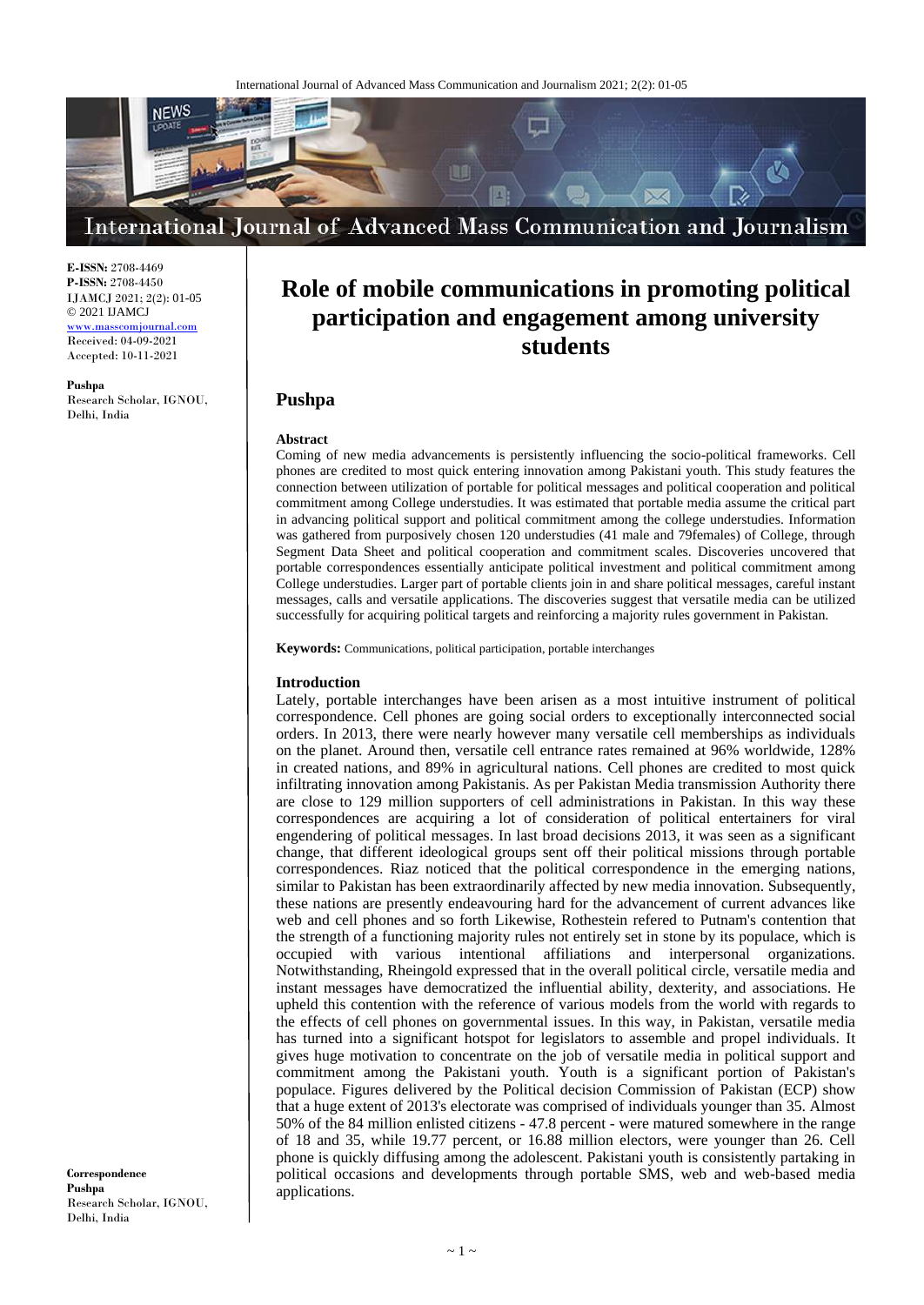

**E-ISSN:** 2708-4469 **P-ISSN:** 2708-4450 IJAMCJ 2021; 2(2): 01-05 © 2021 IJAMCJ

<www.masscomjournal.com> Received: 04-09-2021 Accepted: 10-11-2021

**Pushpa** Research Scholar, IGNOU, Delhi, India

# **Role of mobile communications in promoting political participation and engagement among university students**

# **Pushpa**

# **Abstract**

Coming of new media advancements is persistently influencing the socio-political frameworks. Cell phones are credited to most quick entering innovation among Pakistani youth. This study features the connection between utilization of portable for political messages and political cooperation and political commitment among College understudies. It was estimated that portable media assume the critical part in advancing political support and political commitment among the college understudies. Information was gathered from purposively chosen 120 understudies (41 male and 79females) of College, through Segment Data Sheet and political cooperation and commitment scales. Discoveries uncovered that portable correspondences essentially anticipate political investment and political commitment among College understudies. Larger part of portable clients join in and share political messages, careful instant messages, calls and versatile applications. The discoveries suggest that versatile media can be utilized successfully for acquiring political targets and reinforcing a majority rules government in Pakistan.

**Keywords:** Communications, political participation, portable interchanges

### **Introduction**

Lately, portable interchanges have been arisen as a most intuitive instrument of political correspondence. Cell phones are going social orders to exceptionally interconnected social orders. In 2013, there were nearly however many versatile cell memberships as individuals on the planet. Around then, versatile cell entrance rates remained at 96% worldwide, 128% in created nations, and 89% in agricultural nations. Cell phones are credited to most quick infiltrating innovation among Pakistanis. As per Pakistan Media transmission Authority there are close to 129 million supporters of cell administrations in Pakistan. In this way these correspondences are acquiring a lot of consideration of political entertainers for viral engendering of political messages. In last broad decisions 2013, it was seen as a significant change, that different ideological groups sent off their political missions through portable correspondences. Riaz noticed that the political correspondence in the emerging nations, similar to Pakistan has been extraordinarily affected by new media innovation. Subsequently, these nations are presently endeavouring hard for the advancement of current advances like web and cell phones and so forth Likewise, Rothestein refered to Putnam's contention that the strength of a functioning majority rules not entirely set in stone by its populace, which is occupied with various intentional affiliations and interpersonal organizations. Notwithstanding, Rheingold expressed that in the overall political circle, versatile media and instant messages have democratized the influential ability, dexterity, and associations. He upheld this contention with the reference of various models from the world with regards to the effects of cell phones on governmental issues. In this way, in Pakistan, versatile media has turned into a significant hotspot for legislators to assemble and propel individuals. It gives huge motivation to concentrate on the job of versatile media in political support and commitment among the Pakistani youth. Youth is a significant portion of Pakistan's populace. Figures delivered by the Political decision Commission of Pakistan (ECP) show that a huge extent of 2013's electorate was comprised of individuals younger than 35. Almost 50% of the 84 million enlisted citizens - 47.8 percent - were matured somewhere in the range of 18 and 35, while 19.77 percent, or 16.88 million electors, were younger than 26. Cell phone is quickly diffusing among the adolescent. Pakistani youth is consistently partaking in political occasions and developments through portable SMS, web and web-based media applications.

**Correspondence Pushpa** Research Scholar, IGNOU, Delhi, India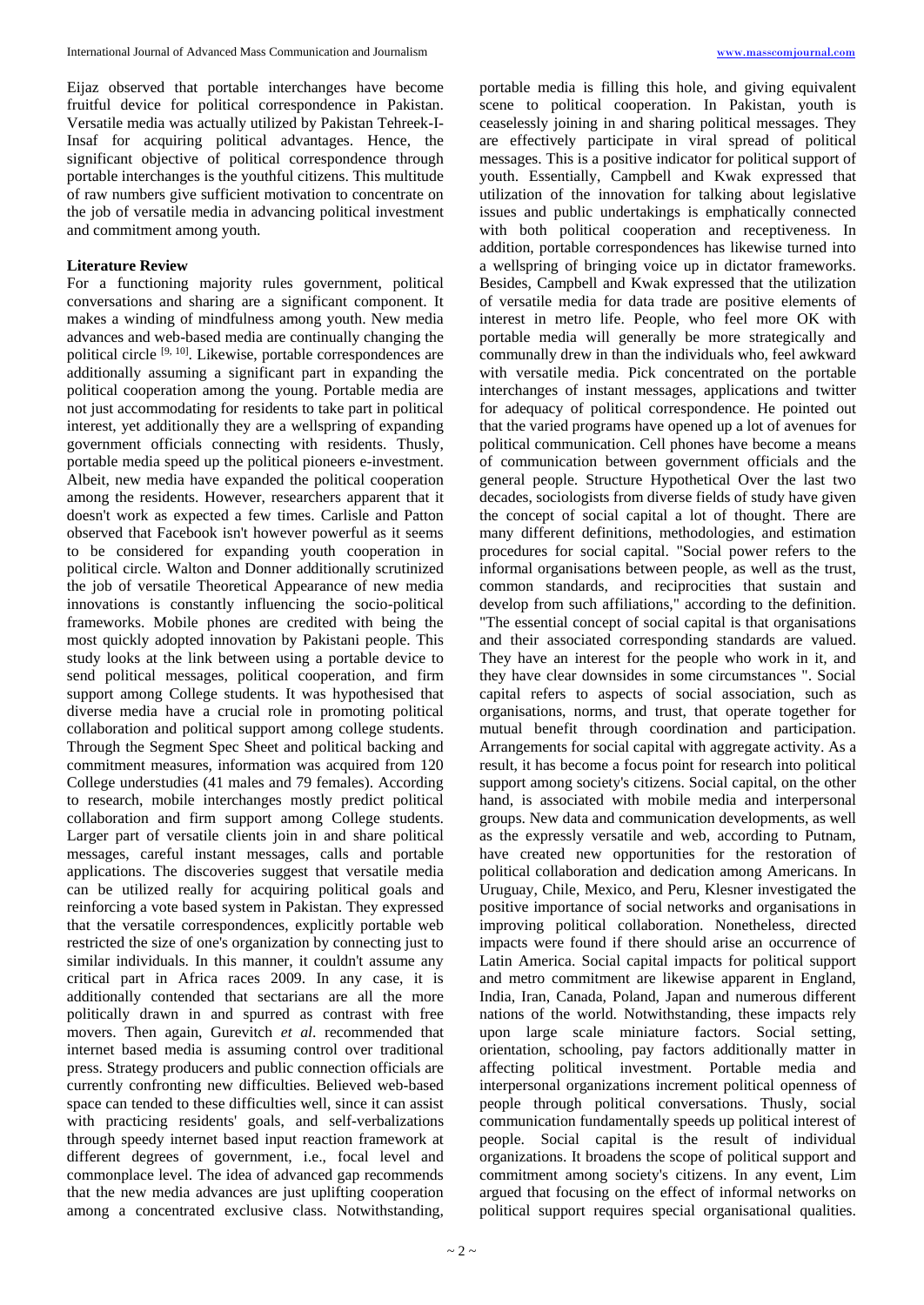Eijaz observed that portable interchanges have become fruitful device for political correspondence in Pakistan. Versatile media was actually utilized by Pakistan Tehreek-I-Insaf for acquiring political advantages. Hence, the significant objective of political correspondence through portable interchanges is the youthful citizens. This multitude of raw numbers give sufficient motivation to concentrate on the job of versatile media in advancing political investment and commitment among youth.

# **Literature Review**

For a functioning majority rules government, political conversations and sharing are a significant component. It makes a winding of mindfulness among youth. New media advances and web-based media are continually changing the political circle [9, 10]. Likewise, portable correspondences are additionally assuming a significant part in expanding the political cooperation among the young. Portable media are not just accommodating for residents to take part in political interest, yet additionally they are a wellspring of expanding government officials connecting with residents. Thusly, portable media speed up the political pioneers e-investment. Albeit, new media have expanded the political cooperation among the residents. However, researchers apparent that it doesn't work as expected a few times. Carlisle and Patton observed that Facebook isn't however powerful as it seems to be considered for expanding youth cooperation in political circle. Walton and Donner additionally scrutinized the job of versatile Theoretical Appearance of new media innovations is constantly influencing the socio-political frameworks. Mobile phones are credited with being the most quickly adopted innovation by Pakistani people. This study looks at the link between using a portable device to send political messages, political cooperation, and firm support among College students. It was hypothesised that diverse media have a crucial role in promoting political collaboration and political support among college students. Through the Segment Spec Sheet and political backing and commitment measures, information was acquired from 120 College understudies (41 males and 79 females). According to research, mobile interchanges mostly predict political collaboration and firm support among College students. Larger part of versatile clients join in and share political messages, careful instant messages, calls and portable applications. The discoveries suggest that versatile media can be utilized really for acquiring political goals and reinforcing a vote based system in Pakistan. They expressed that the versatile correspondences, explicitly portable web restricted the size of one's organization by connecting just to similar individuals. In this manner, it couldn't assume any critical part in Africa races 2009. In any case, it is additionally contended that sectarians are all the more politically drawn in and spurred as contrast with free movers. Then again, Gurevitch *et al*. recommended that internet based media is assuming control over traditional press. Strategy producers and public connection officials are currently confronting new difficulties. Believed web-based space can tended to these difficulties well, since it can assist with practicing residents' goals, and self-verbalizations through speedy internet based input reaction framework at different degrees of government, i.e., focal level and commonplace level. The idea of advanced gap recommends that the new media advances are just uplifting cooperation among a concentrated exclusive class. Notwithstanding,

portable media is filling this hole, and giving equivalent scene to political cooperation. In Pakistan, youth is ceaselessly joining in and sharing political messages. They are effectively participate in viral spread of political messages. This is a positive indicator for political support of youth. Essentially, Campbell and Kwak expressed that utilization of the innovation for talking about legislative issues and public undertakings is emphatically connected with both political cooperation and receptiveness. In addition, portable correspondences has likewise turned into a wellspring of bringing voice up in dictator frameworks. Besides, Campbell and Kwak expressed that the utilization of versatile media for data trade are positive elements of interest in metro life. People, who feel more OK with portable media will generally be more strategically and communally drew in than the individuals who, feel awkward with versatile media. Pick concentrated on the portable interchanges of instant messages, applications and twitter for adequacy of political correspondence. He pointed out that the varied programs have opened up a lot of avenues for political communication. Cell phones have become a means of communication between government officials and the general people. Structure Hypothetical Over the last two decades, sociologists from diverse fields of study have given the concept of social capital a lot of thought. There are many different definitions, methodologies, and estimation procedures for social capital. "Social power refers to the informal organisations between people, as well as the trust, common standards, and reciprocities that sustain and develop from such affiliations," according to the definition. "The essential concept of social capital is that organisations and their associated corresponding standards are valued. They have an interest for the people who work in it, and they have clear downsides in some circumstances ". Social capital refers to aspects of social association, such as organisations, norms, and trust, that operate together for mutual benefit through coordination and participation. Arrangements for social capital with aggregate activity. As a result, it has become a focus point for research into political support among society's citizens. Social capital, on the other hand, is associated with mobile media and interpersonal groups. New data and communication developments, as well as the expressly versatile and web, according to Putnam, have created new opportunities for the restoration of political collaboration and dedication among Americans. In Uruguay, Chile, Mexico, and Peru, Klesner investigated the positive importance of social networks and organisations in improving political collaboration. Nonetheless, directed impacts were found if there should arise an occurrence of Latin America. Social capital impacts for political support and metro commitment are likewise apparent in England, India, Iran, Canada, Poland, Japan and numerous different nations of the world. Notwithstanding, these impacts rely upon large scale miniature factors. Social setting, orientation, schooling, pay factors additionally matter in affecting political investment. Portable media and interpersonal organizations increment political openness of people through political conversations. Thusly, social communication fundamentally speeds up political interest of people. Social capital is the result of individual organizations. It broadens the scope of political support and commitment among society's citizens. In any event, Lim argued that focusing on the effect of informal networks on political support requires special organisational qualities.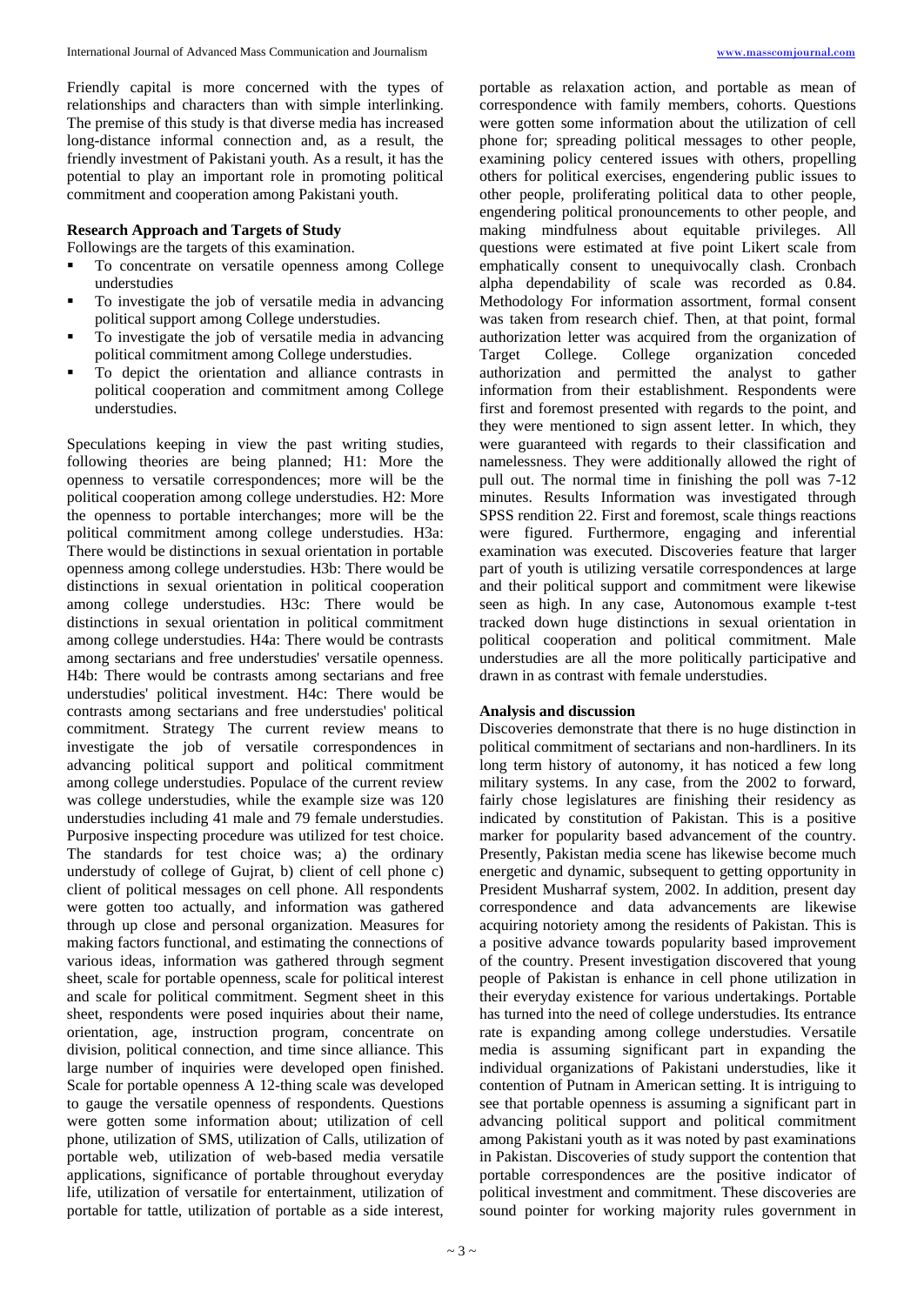Friendly capital is more concerned with the types of relationships and characters than with simple interlinking. The premise of this study is that diverse media has increased long-distance informal connection and, as a result, the friendly investment of Pakistani youth. As a result, it has the potential to play an important role in promoting political commitment and cooperation among Pakistani youth.

### **Research Approach and Targets of Study**

Followings are the targets of this examination.

- To concentrate on versatile openness among College understudies
- To investigate the job of versatile media in advancing political support among College understudies.
- To investigate the job of versatile media in advancing political commitment among College understudies.
- To depict the orientation and alliance contrasts in political cooperation and commitment among College understudies.

Speculations keeping in view the past writing studies, following theories are being planned; H1: More the openness to versatile correspondences; more will be the political cooperation among college understudies. H2: More the openness to portable interchanges; more will be the political commitment among college understudies. H3a: There would be distinctions in sexual orientation in portable openness among college understudies. H3b: There would be distinctions in sexual orientation in political cooperation among college understudies. H3c: There would be distinctions in sexual orientation in political commitment among college understudies. H4a: There would be contrasts among sectarians and free understudies' versatile openness. H4b: There would be contrasts among sectarians and free understudies' political investment. H4c: There would be contrasts among sectarians and free understudies' political commitment. Strategy The current review means to investigate the job of versatile correspondences in advancing political support and political commitment among college understudies. Populace of the current review was college understudies, while the example size was 120 understudies including 41 male and 79 female understudies. Purposive inspecting procedure was utilized for test choice. The standards for test choice was; a) the ordinary understudy of college of Gujrat, b) client of cell phone c) client of political messages on cell phone. All respondents were gotten too actually, and information was gathered through up close and personal organization. Measures for making factors functional, and estimating the connections of various ideas, information was gathered through segment sheet, scale for portable openness, scale for political interest and scale for political commitment. Segment sheet in this sheet, respondents were posed inquiries about their name, orientation, age, instruction program, concentrate on division, political connection, and time since alliance. This large number of inquiries were developed open finished. Scale for portable openness A 12-thing scale was developed to gauge the versatile openness of respondents. Questions were gotten some information about; utilization of cell phone, utilization of SMS, utilization of Calls, utilization of portable web, utilization of web-based media versatile applications, significance of portable throughout everyday life, utilization of versatile for entertainment, utilization of portable for tattle, utilization of portable as a side interest,

portable as relaxation action, and portable as mean of correspondence with family members, cohorts. Questions were gotten some information about the utilization of cell phone for; spreading political messages to other people, examining policy centered issues with others, propelling others for political exercises, engendering public issues to other people, proliferating political data to other people, engendering political pronouncements to other people, and making mindfulness about equitable privileges. All questions were estimated at five point Likert scale from emphatically consent to unequivocally clash. Cronbach alpha dependability of scale was recorded as 0.84. Methodology For information assortment, formal consent was taken from research chief. Then, at that point, formal authorization letter was acquired from the organization of Target College. College organization conceded authorization and permitted the analyst to gather information from their establishment. Respondents were first and foremost presented with regards to the point, and they were mentioned to sign assent letter. In which, they were guaranteed with regards to their classification and namelessness. They were additionally allowed the right of pull out. The normal time in finishing the poll was 7-12 minutes. Results Information was investigated through SPSS rendition 22. First and foremost, scale things reactions were figured. Furthermore, engaging and inferential examination was executed. Discoveries feature that larger part of youth is utilizing versatile correspondences at large and their political support and commitment were likewise seen as high. In any case, Autonomous example t-test tracked down huge distinctions in sexual orientation in political cooperation and political commitment. Male understudies are all the more politically participative and drawn in as contrast with female understudies.

### **Analysis and discussion**

Discoveries demonstrate that there is no huge distinction in political commitment of sectarians and non-hardliners. In its long term history of autonomy, it has noticed a few long military systems. In any case, from the 2002 to forward, fairly chose legislatures are finishing their residency as indicated by constitution of Pakistan. This is a positive marker for popularity based advancement of the country. Presently, Pakistan media scene has likewise become much energetic and dynamic, subsequent to getting opportunity in President Musharraf system, 2002. In addition, present day correspondence and data advancements are likewise acquiring notoriety among the residents of Pakistan. This is a positive advance towards popularity based improvement of the country. Present investigation discovered that young people of Pakistan is enhance in cell phone utilization in their everyday existence for various undertakings. Portable has turned into the need of college understudies. Its entrance rate is expanding among college understudies. Versatile media is assuming significant part in expanding the individual organizations of Pakistani understudies, like it contention of Putnam in American setting. It is intriguing to see that portable openness is assuming a significant part in advancing political support and political commitment among Pakistani youth as it was noted by past examinations in Pakistan. Discoveries of study support the contention that portable correspondences are the positive indicator of political investment and commitment. These discoveries are sound pointer for working majority rules government in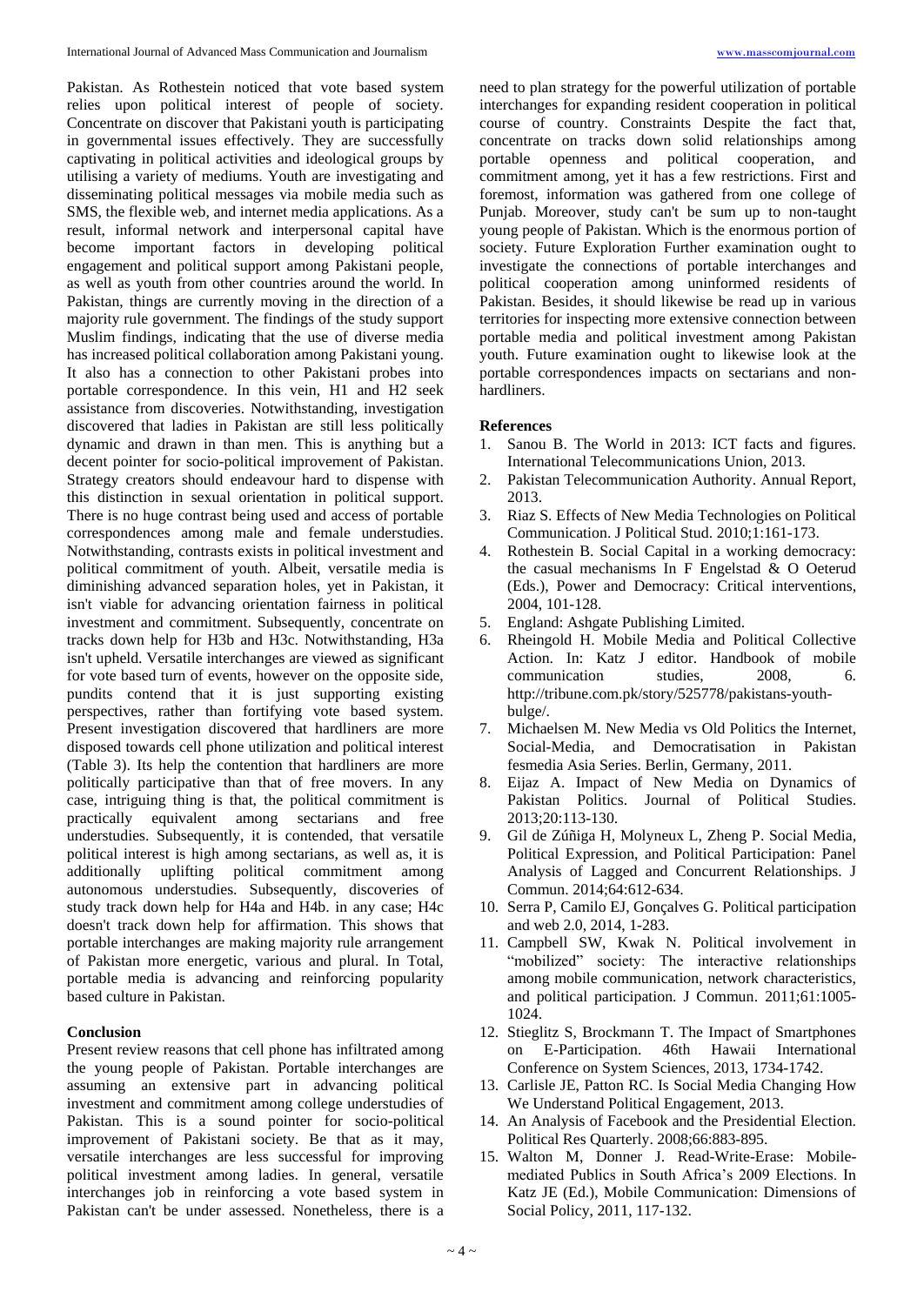Pakistan. As Rothestein noticed that vote based system relies upon political interest of people of society. Concentrate on discover that Pakistani youth is participating in governmental issues effectively. They are successfully captivating in political activities and ideological groups by utilising a variety of mediums. Youth are investigating and disseminating political messages via mobile media such as SMS, the flexible web, and internet media applications. As a result, informal network and interpersonal capital have become important factors in developing political engagement and political support among Pakistani people, as well as youth from other countries around the world. In Pakistan, things are currently moving in the direction of a majority rule government. The findings of the study support Muslim findings, indicating that the use of diverse media has increased political collaboration among Pakistani young. It also has a connection to other Pakistani probes into portable correspondence. In this vein, H1 and H2 seek assistance from discoveries. Notwithstanding, investigation discovered that ladies in Pakistan are still less politically dynamic and drawn in than men. This is anything but a decent pointer for socio-political improvement of Pakistan. Strategy creators should endeavour hard to dispense with this distinction in sexual orientation in political support. There is no huge contrast being used and access of portable correspondences among male and female understudies. Notwithstanding, contrasts exists in political investment and political commitment of youth. Albeit, versatile media is diminishing advanced separation holes, yet in Pakistan, it isn't viable for advancing orientation fairness in political investment and commitment. Subsequently, concentrate on tracks down help for H3b and H3c. Notwithstanding, H3a isn't upheld. Versatile interchanges are viewed as significant for vote based turn of events, however on the opposite side, pundits contend that it is just supporting existing perspectives, rather than fortifying vote based system. Present investigation discovered that hardliners are more disposed towards cell phone utilization and political interest (Table 3). Its help the contention that hardliners are more politically participative than that of free movers. In any case, intriguing thing is that, the political commitment is practically equivalent among sectarians and free understudies. Subsequently, it is contended, that versatile political interest is high among sectarians, as well as, it is additionally uplifting political commitment among uplifting political commitment among autonomous understudies. Subsequently, discoveries of study track down help for H4a and H4b. in any case; H4c doesn't track down help for affirmation. This shows that portable interchanges are making majority rule arrangement of Pakistan more energetic, various and plural. In Total, portable media is advancing and reinforcing popularity based culture in Pakistan.

# **Conclusion**

Present review reasons that cell phone has infiltrated among the young people of Pakistan. Portable interchanges are assuming an extensive part in advancing political investment and commitment among college understudies of Pakistan. This is a sound pointer for socio-political improvement of Pakistani society. Be that as it may, versatile interchanges are less successful for improving political investment among ladies. In general, versatile interchanges job in reinforcing a vote based system in Pakistan can't be under assessed. Nonetheless, there is a

need to plan strategy for the powerful utilization of portable interchanges for expanding resident cooperation in political course of country. Constraints Despite the fact that, concentrate on tracks down solid relationships among portable openness and political cooperation, and commitment among, yet it has a few restrictions. First and foremost, information was gathered from one college of Punjab. Moreover, study can't be sum up to non-taught young people of Pakistan. Which is the enormous portion of society. Future Exploration Further examination ought to investigate the connections of portable interchanges and political cooperation among uninformed residents of Pakistan. Besides, it should likewise be read up in various territories for inspecting more extensive connection between portable media and political investment among Pakistan youth. Future examination ought to likewise look at the portable correspondences impacts on sectarians and nonhardliners.

### **References**

- 1. Sanou B. The World in 2013: ICT facts and figures. International Telecommunications Union, 2013.
- 2. Pakistan Telecommunication Authority. Annual Report, 2013.
- 3. Riaz S. Effects of New Media Technologies on Political Communication. J Political Stud. 2010;1:161-173.
- 4. Rothestein B. Social Capital in a working democracy: the casual mechanisms In F Engelstad & O Oeterud (Eds.), Power and Democracy: Critical interventions, 2004, 101-128.
- 5. England: Ashgate Publishing Limited.
- 6. Rheingold H. Mobile Media and Political Collective Action. In: Katz J editor. Handbook of mobile communication studies, 2008, 6. http://tribune.com.pk/story/525778/pakistans-youthbulge/.
- 7. Michaelsen M. New Media vs Old Politics the Internet, Social-Media, and Democratisation in Pakistan fesmedia Asia Series. Berlin, Germany, 2011.
- 8. Eijaz A. Impact of New Media on Dynamics of Pakistan Politics. Journal of Political Studies. 2013;20:113-130.
- 9. Gil de Zúñiga H, Molyneux L, Zheng P. Social Media, Political Expression, and Political Participation: Panel Analysis of Lagged and Concurrent Relationships. J Commun. 2014;64:612-634.
- 10. Serra P, Camilo EJ, Gonçalves G. Political participation and web 2.0, 2014, 1-283.
- 11. Campbell SW, Kwak N. Political involvement in "mobilized" society: The interactive relationships among mobile communication, network characteristics, and political participation. J Commun. 2011;61:1005- 1024.
- 12. Stieglitz S, Brockmann T. The Impact of Smartphones on E-Participation. 46th Hawaii International Conference on System Sciences, 2013, 1734-1742.
- 13. Carlisle JE, Patton RC. Is Social Media Changing How We Understand Political Engagement, 2013.
- 14. An Analysis of Facebook and the Presidential Election. Political Res Quarterly. 2008;66:883-895.
- 15. Walton M, Donner J. Read-Write-Erase: Mobilemediated Publics in South Africa's 2009 Elections. In Katz JE (Ed.), Mobile Communication: Dimensions of Social Policy, 2011, 117-132.